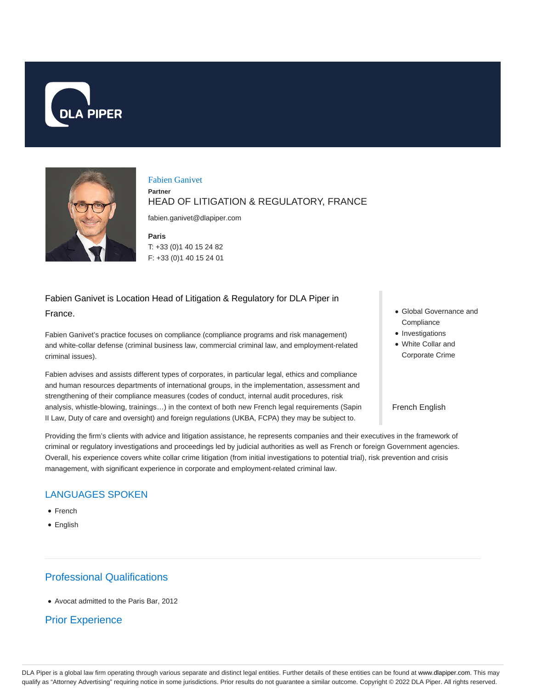



#### Fabien Ganivet

### HEAD OF LITIGATION & REGULATORY, FRANCE

fabien.ganivet@dlapiper.com

**Paris**

**Partner**

T: +33 (0)1 40 15 24 82 F: +33 (0)1 40 15 24 01

# Fabien Ganivet is Location Head of Litigation & Regulatory for DLA Piper in

France.

Fabien Ganivet's practice focuses on compliance (compliance programs and risk management) and white-collar defense (criminal business law, commercial criminal law, and employment-related criminal issues).

Fabien advises and assists different types of corporates, in particular legal, ethics and compliance and human resources departments of international groups, in the implementation, assessment and strengthening of their compliance measures (codes of conduct, internal audit procedures, risk analysis, whistle-blowing, trainings…) in the context of both new French legal requirements (Sapin II Law, Duty of care and oversight) and foreign regulations (UKBA, FCPA) they may be subject to.

- Global Governance and **Compliance**
- Investigations
- White Collar and Corporate Crime

#### French English

Providing the firm's clients with advice and litigation assistance, he represents companies and their executives in the framework of criminal or regulatory investigations and proceedings led by judicial authorities as well as French or foreign Government agencies. Overall, his experience covers white collar crime litigation (from initial investigations to potential trial), risk prevention and crisis management, with significant experience in corporate and employment-related criminal law.

### LANGUAGES SPOKEN

- French
- English

# Professional Qualifications

Avocat admitted to the Paris Bar, 2012

### Prior Experience

DLA Piper is a global law firm operating through various separate and distinct legal entities. Further details of these entities can be found at www.dlapiper.com. This may qualify as "Attorney Advertising" requiring notice in some jurisdictions. Prior results do not guarantee a similar outcome. Copyright @ 2022 DLA Piper. All rights reserved.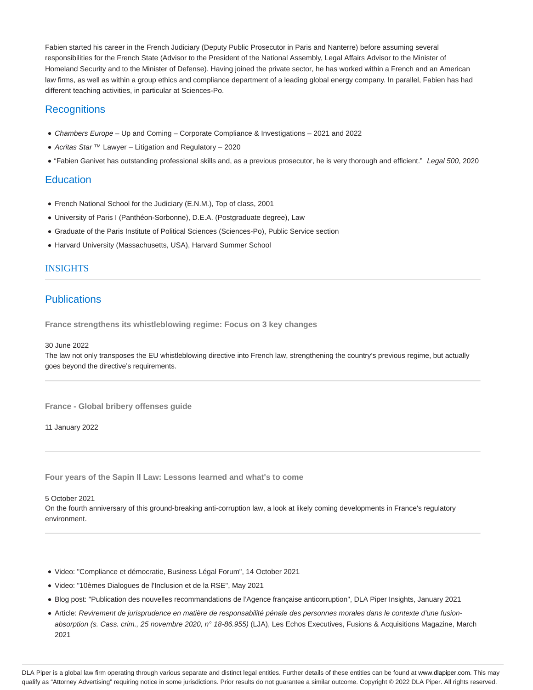Fabien started his career in the French Judiciary (Deputy Public Prosecutor in Paris and Nanterre) before assuming several responsibilities for the French State (Advisor to the President of the National Assembly, Legal Affairs Advisor to the Minister of Homeland Security and to the Minister of Defense). Having joined the private sector, he has worked within a French and an American law firms, as well as within a group ethics and compliance department of a leading global energy company. In parallel, Fabien has had different teaching activities, in particular at Sciences-Po.

#### **Recognitions**

- Chambers Europe Up and Coming Corporate Compliance & Investigations 2021 and 2022
- Acritas Star ™ Lawyer Litigation and Regulatory 2020
- . "Fabien Ganivet has outstanding professional skills and, as a previous prosecutor, he is very thorough and efficient." Legal 500, 2020

#### **Education**

- French National School for the Judiciary (E.N.M.), Top of class, 2001
- University of Paris I (Panthéon-Sorbonne), D.E.A. (Postgraduate degree), Law
- Graduate of the Paris Institute of Political Sciences (Sciences-Po), Public Service section
- Harvard University (Massachusetts, USA), Harvard Summer School

#### INSIGHTS

## **Publications**

**France strengthens its whistleblowing regime: Focus on 3 key changes**

30 June 2022

The law not only transposes the EU whistleblowing directive into French law, strengthening the country's previous regime, but actually goes beyond the directive's requirements.

**France - Global bribery offenses guide**

11 January 2022

**Four years of the Sapin II Law: Lessons learned and what's to come**

5 October 2021

On the fourth anniversary of this ground-breaking anti-corruption law, a look at likely coming developments in France's regulatory environment.

- Video: "Compliance et démocratie, Business Légal Forum", 14 October 2021
- Video: "10èmes Dialogues de l'Inclusion et de la RSE", May 2021
- Blog post: "Publication des nouvelles recommandations de l'Agence française anticorruption", DLA Piper Insights, January 2021
- Article: Revirement de jurisprudence en matière de responsabilité pénale des personnes morales dans le contexte d'une fusionabsorption (s. Cass. crim., 25 novembre 2020, n° 18-86.955) (LJA), Les Echos Executives, Fusions & Acquisitions Magazine, March 2021

DLA Piper is a global law firm operating through various separate and distinct legal entities. Further details of these entities can be found at www.dlapiper.com. This may qualify as "Attorney Advertising" requiring notice in some jurisdictions. Prior results do not guarantee a similar outcome. Copyright © 2022 DLA Piper. All rights reserved.